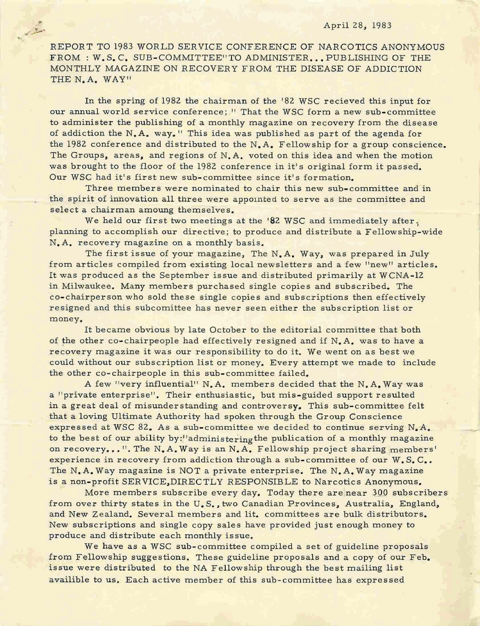#### April 28, 1983

-..-

REPORT TO 1983 WORLD SERVICE CONFERENCE OF NARCOTICS ANONYMOUS FROM: W.S.C. SUB-COMMITTEE"TO ADMINISTER... PUBLISHING OF THE MONTHLY MAGAZINE ON RECOVERY FROM THE DISEASE OF ADDICTION THE N.A. WAY"

In the spring of 1982 the chairman of the '82 WSC recieved this input for our annual world service conference; " That the WSC form a new sub-committee to administer the publishing of a monthly magazine on recovery from the disease of addiction the N. A. way." This idea was published as part of the agenda for the 1982 conference and distributed to the N.A. Fellowship for a group conscience. The Groups, areas, and regions of N.A. voted on this idea and when the motion was brought to the floor of the 1982 conference in it's original form it passed. Our WSC had it's first new sub-committee since it's formation.

Three members were nominated to chair this new sub-committee and in the spirit of innovation all three were appointed to serve as the committee and select a chairman amoung themselves.

We held our first two meetings at the '82 WSC and immediately after. planning to accomplish our directive; to produce and distribute a Fellowship-wide N.A. recovery magazine on a monthly basis.

The first issue of your magazine, The N.A. Way, was prepared in July from articles compiled from existing local newsletters and a few "new" articles. It was produced as the September issue and distributed primarily at WCNA-12 in Milwaukee. Many members purchased single copies and subscribed. The co-chairperson who sold these single copies and subscriptions then effectively resigned and this subcomittee has never seen either the subscription list or money.

It became obvious by late October to the editorial committee that both of the other co-chairpeople had effectively resigned and if N.A. was to have a recovery magazine it was our responsibility to do it. We went on as best we could without our subscription list or money. Every attempt we made to include the other co-chairpeople in this sub-committee failed.

A few "very influential" N.A. members decided that the N.A. Way was a "private enterprise". Their enthusiastic, but mis-guided support resulted in a great deal of misunderstanding and controversy. This sub-committee felt that a loving Ultimate Authority had spoken through the Group Conscience expressed at WSC 82. As a sub-committee we decided to continue serving N.A. to the best of our ability by:"administering the publication of a monthly magazine on recovery...". The N.A. Way is an N.A. Fellowship project sharing members' experience in recovery from addiction through a sub-committee of our W.S.C.. The N.A. Way magazine is NOT a private enterprise. The N.A. Way magazine is a non-profit SERVICE,DIRECTLY RESPONSIBLE to Narcotics Anonymous.

More members subscribe every day. Today there are near 300 subscribers from over thirty states in the U. S., two Canadian Provinces, Australia, England, and New Zealand. Several members and lit. committees are bulk distributors. New subscriptions and single copy sales have provided just enough money to produce and distribute each monthly issue.

We have as a WSC sub-committee compiled a set of guideline proposals from Fellowship suggestions. These guideline proposals and a copy of our Feb. issue were distributed to the NA Fellowship through the best mailing list availible to us. Each active member of this sub-committee has expressed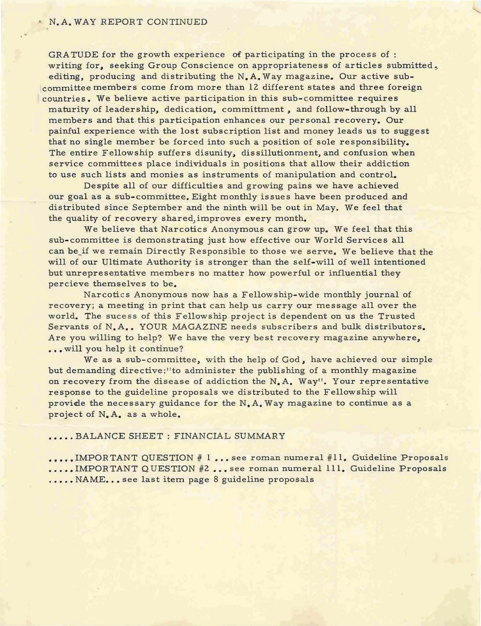### N.A. WAY REPORT CONTINUED

GRATUDE for the growth experience of participating in the process of : writing for, seeking Group Conscience on appropriateness of articles submitted, editing, producing and distributing the N.A. Way magazine. Our active subcommittee members come from more than 12 different states and three foreign countries. We believe active participation in this sub-committee requires maturity of leadership, dedication, committment, and follow-through by all members and that this participation enhances our personal recovery. Our painful experience with the lost subscription list and money leads us to suggest that no single member be forced into such a position of sole responsibility. The entire Fellowship suffers disunity, dissillutionment, and confusion when service committees place individuals in positions that allow their addiction to use such lists and monies as instruments of manipulation and control.

Despite all of our difficulties and growing pains we have achieved our goal as a sub-committee. Eight monthly issues have been produced and distributed since September and the ninth will be out in May. We feel that the quality of recovery shared, improves every month.

We believe that Narcotics Anonymous can grow up. We feel that this sub-committee is demonstrating just how effective our World Services all can be if we remain Directly Responsible to those we serve. We believe that the will of our Ultimate Authority is stronger than the self-will of well intentioned but unrepresentative members no matter how powerful or influential they percieve themselves to be.

Narcotics Anonymous now has a Fellowship-wide monthly journal of recovery; a meeting in print that can help us carry our message all over the world. The sucess of this Fellowship project is dependent on us the Trusted Servants of N.A.. YOUR MAGAZINE needs subscribers and bulk distributors. Are you willing to help? We have the very best recovery magazine anywhere, ... will you help it continue?

We as a sub-committee, with the help of God, have achieved our simple but demanding directive:"to administer the publishing of a monthly magazine on recovery from the disease of addiction the N.A. Way". Your representative response to the guideline proposals we distributed to the Fellowship will provide the necessary guidance for the  $N$ . A. Way magazine to continue as a project of N.A. as a whole.

#### ••••• BALANCE SHEET: FINANCIAL SUMMARY

...., IMPORTANT QUESTION # 1 ... see roman numeral #11. Guideline Proposals ..... IMPORTANT QUESTION #2... see roman numeral 111. Guideline Proposals ..... NAME... see last item page 8 guideline proposals